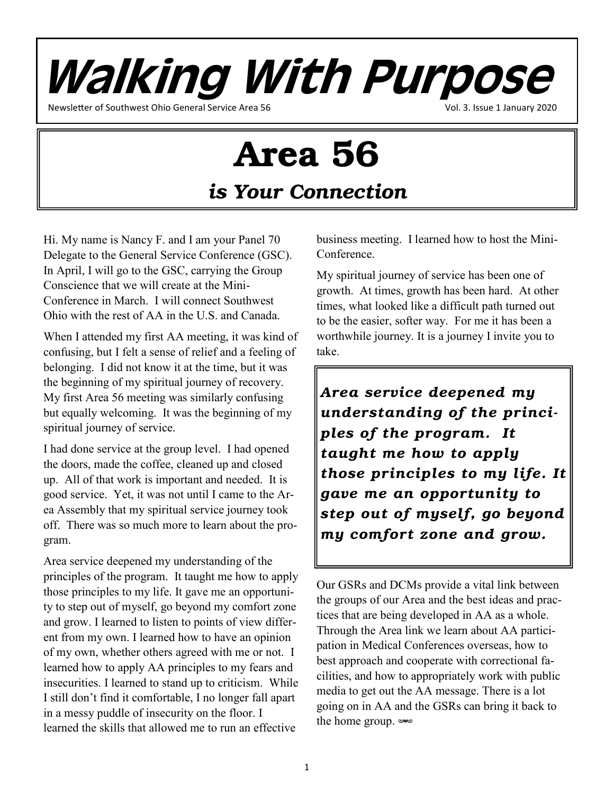Walking With Purpose Newsletter of Southwest Ohio General Service Area 56 Vol. 3. Issue 1 January 2020

# Area 56

*is Your Connection*

Hi. My name is Nancy F. and I am your Panel 70 Delegate to the General Service Conference (GSC). In April, I will go to the GSC, carrying the Group Conscience that we will create at the Mini-Conference in March. I will connect Southwest Ohio with the rest of AA in the U.S. and Canada.

When I attended my first AA meeting, it was kind of confusing, but I felt a sense of relief and a feeling of belonging. I did not know it at the time, but it was the beginning of my spiritual journey of recovery. My first Area 56 meeting was similarly confusing but equally welcoming. It was the beginning of my spiritual journey of service.

I had done service at the group level. I had opened the doors, made the coffee, cleaned up and closed up. All of that work is important and needed. It is good service. Yet, it was not until I came to the Area Assembly that my spiritual service journey took off. There was so much more to learn about the program.

Area service deepened my understanding of the principles of the program. It taught me how to apply those principles to my life. It gave me an opportunity to step out of myself, go beyond my comfort zone and grow. I learned to listen to points of view different from my own. I learned how to have an opinion of my own, whether others agreed with me or not. I learned how to apply AA principles to my fears and insecurities. I learned to stand up to criticism. While I still don't find it comfortable, I no longer fall apart in a messy puddle of insecurity on the floor. I learned the skills that allowed me to run an effective

business meeting. I learned how to host the Mini-Conference.

My spiritual journey of service has been one of growth. At times, growth has been hard. At other times, what looked like a difficult path turned out to be the easier, softer way. For me it has been a worthwhile journey. It is a journey I invite you to take.

*Area service deepened my understanding of the principles of the program. It taught me how to apply those principles to my life. It gave me an opportunity to step out of myself, go beyond my comfort zone and grow.* 

Our GSRs and DCMs provide a vital link between the groups of our Area and the best ideas and practices that are being developed in AA as a whole. Through the Area link we learn about AA participation in Medical Conferences overseas, how to best approach and cooperate with correctional facilities, and how to appropriately work with public media to get out the AA message. There is a lot going on in AA and the GSRs can bring it back to the home group. was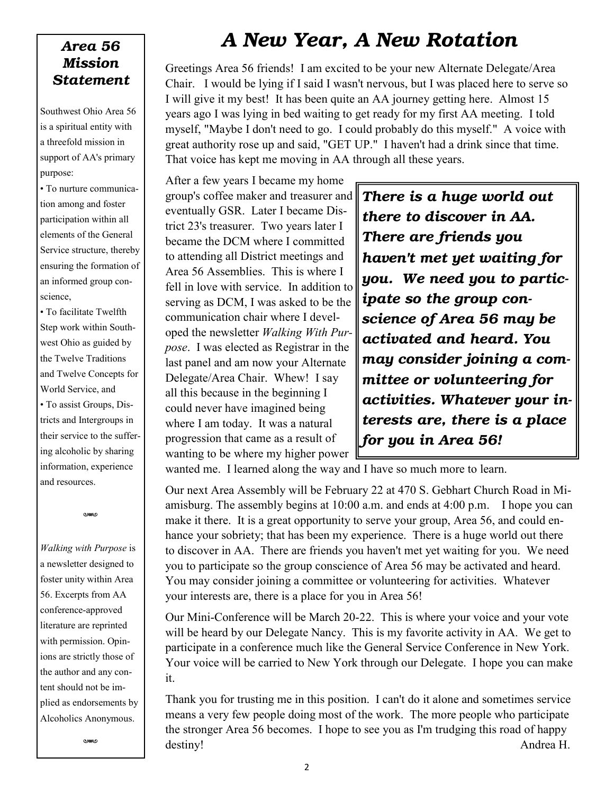#### *Area 56 Mission Statement*

Southwest Ohio Area 56 is a spiritual entity with a threefold mission in support of AA's primary purpose:

• To nurture communication among and foster participation within all elements of the General Service structure, thereby ensuring the formation of an informed group conscience,

• To facilitate Twelfth Step work within Southwest Ohio as guided by the Twelve Traditions and Twelve Concepts for World Service, and • To assist Groups, Dis-

tricts and Intergroups in their service to the suffering alcoholic by sharing information, experience and resources.

w

*Walking with Purpose* is a newsletter designed to foster unity within Area 56. Excerpts from AA conference-approved literature are reprinted with permission. Opinions are strictly those of the author and any content should not be implied as endorsements by Alcoholics Anonymous.

w

### *A New Year, A New Rotation*

Greetings Area 56 friends! I am excited to be your new Alternate Delegate/Area Chair. I would be lying if I said I wasn't nervous, but I was placed here to serve so I will give it my best! It has been quite an AA journey getting here. Almost 15 years ago I was lying in bed waiting to get ready for my first AA meeting. I told myself, "Maybe I don't need to go. I could probably do this myself." A voice with great authority rose up and said, "GET UP." I haven't had a drink since that time. That voice has kept me moving in AA through all these years.

After a few years I became my home group's coffee maker and treasurer and eventually GSR. Later I became District 23's treasurer. Two years later I became the DCM where I committed to attending all District meetings and Area 56 Assemblies. This is where I fell in love with service. In addition to serving as DCM, I was asked to be the communication chair where I developed the newsletter *Walking With Purpose*. I was elected as Registrar in the last panel and am now your Alternate Delegate/Area Chair. Whew! I say all this because in the beginning I could never have imagined being where I am today. It was a natural progression that came as a result of wanting to be where my higher power

*There is a huge world out there to discover in AA. There are friends you haven't met yet waiting for you. We need you to participate so the group conscience of Area 56 may be activated and heard. You may consider joining a committee or volunteering for activities. Whatever your interests are, there is a place for you in Area 56!* 

wanted me. I learned along the way and I have so much more to learn.

Our next Area Assembly will be February 22 at 470 S. Gebhart Church Road in Miamisburg. The assembly begins at 10:00 a.m. and ends at 4:00 p.m. I hope you can make it there. It is a great opportunity to serve your group, Area 56, and could enhance your sobriety; that has been my experience. There is a huge world out there to discover in AA. There are friends you haven't met yet waiting for you. We need you to participate so the group conscience of Area 56 may be activated and heard. You may consider joining a committee or volunteering for activities. Whatever your interests are, there is a place for you in Area 56!

Our Mini-Conference will be March 20-22. This is where your voice and your vote will be heard by our Delegate Nancy. This is my favorite activity in AA. We get to participate in a conference much like the General Service Conference in New York. Your voice will be carried to New York through our Delegate. I hope you can make it.

Thank you for trusting me in this position. I can't do it alone and sometimes service means a very few people doing most of the work. The more people who participate the stronger Area 56 becomes. I hope to see you as I'm trudging this road of happy destiny! Andrea H.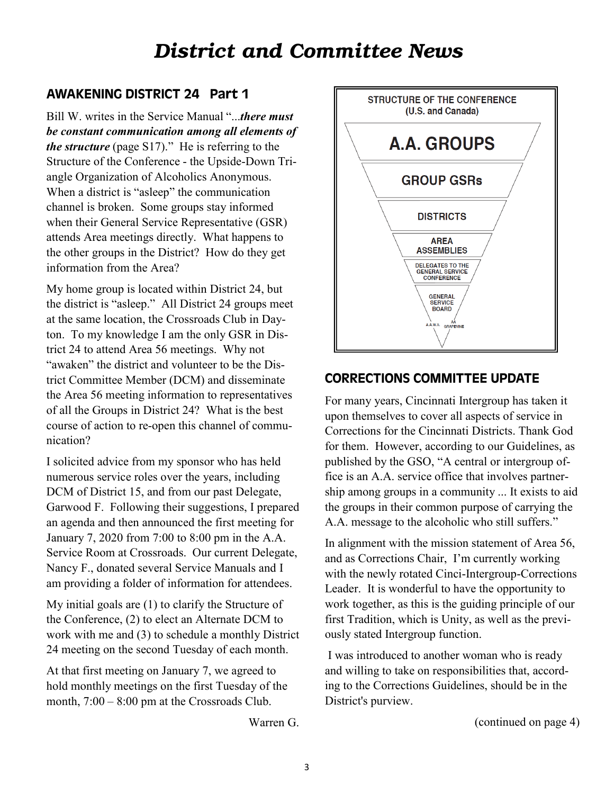### *District and Committee News*

#### AWAKENING DISTRICT 24 Part 1

Bill W. writes in the Service Manual "...*there must be constant communication among all elements of the structure* (page S17)." He is referring to the Structure of the Conference - the Upside-Down Triangle Organization of Alcoholics Anonymous. When a district is "asleep" the communication channel is broken. Some groups stay informed when their General Service Representative (GSR) attends Area meetings directly. What happens to the other groups in the District? How do they get information from the Area?

My home group is located within District 24, but the district is "asleep." All District 24 groups meet at the same location, the Crossroads Club in Dayton. To my knowledge I am the only GSR in District 24 to attend Area 56 meetings. Why not "awaken" the district and volunteer to be the District Committee Member (DCM) and disseminate the Area 56 meeting information to representatives of all the Groups in District 24? What is the best course of action to re-open this channel of communication?

I solicited advice from my sponsor who has held numerous service roles over the years, including DCM of District 15, and from our past Delegate, Garwood F. Following their suggestions, I prepared an agenda and then announced the first meeting for January 7, 2020 from 7:00 to 8:00 pm in the A.A. Service Room at Crossroads. Our current Delegate, Nancy F., donated several Service Manuals and I am providing a folder of information for attendees.

My initial goals are (1) to clarify the Structure of the Conference, (2) to elect an Alternate DCM to work with me and (3) to schedule a monthly District 24 meeting on the second Tuesday of each month.

At that first meeting on January 7, we agreed to hold monthly meetings on the first Tuesday of the month, 7:00 – 8:00 pm at the Crossroads Club.

Warren G.



#### CORRECTIONS COMMITTEE UPDATE

For many years, Cincinnati Intergroup has taken it upon themselves to cover all aspects of service in Corrections for the Cincinnati Districts. Thank God for them. However, according to our Guidelines, as published by the GSO, "A central or intergroup office is an A.A. service office that involves partnership among groups in a community ... It exists to aid the groups in their common purpose of carrying the A.A. message to the alcoholic who still suffers."

In alignment with the mission statement of Area 56, and as Corrections Chair, I'm currently working with the newly rotated Cinci-Intergroup-Corrections Leader. It is wonderful to have the opportunity to work together, as this is the guiding principle of our first Tradition, which is Unity, as well as the previously stated Intergroup function.

I was introduced to another woman who is ready and willing to take on responsibilities that, according to the Corrections Guidelines, should be in the District's purview.

(continued on page 4)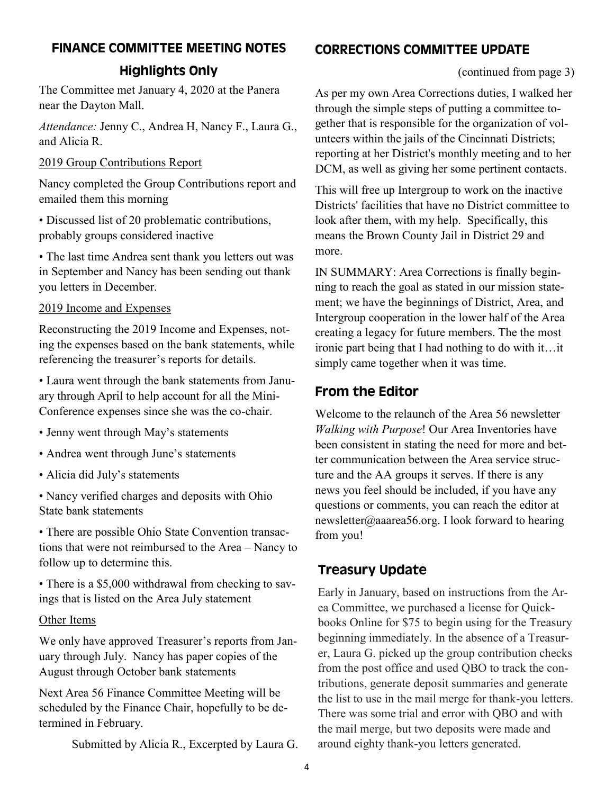#### FINANCE COMMITTEE MEETING NOTES

#### Highlights Only

The Committee met January 4, 2020 at the Panera near the Dayton Mall.

*Attendance:* Jenny C., Andrea H, Nancy F., Laura G., and Alicia R.

#### 2019 Group Contributions Report

Nancy completed the Group Contributions report and emailed them this morning

• Discussed list of 20 problematic contributions, probably groups considered inactive

• The last time Andrea sent thank you letters out was in September and Nancy has been sending out thank you letters in December.

#### 2019 Income and Expenses

Reconstructing the 2019 Income and Expenses, noting the expenses based on the bank statements, while referencing the treasurer's reports for details.

• Laura went through the bank statements from January through April to help account for all the Mini-Conference expenses since she was the co-chair.

- Jenny went through May's statements
- Andrea went through June's statements
- Alicia did July's statements

• Nancy verified charges and deposits with Ohio State bank statements

• There are possible Ohio State Convention transactions that were not reimbursed to the Area – Nancy to follow up to determine this.

• There is a \$5,000 withdrawal from checking to savings that is listed on the Area July statement

#### Other Items

We only have approved Treasurer's reports from January through July. Nancy has paper copies of the August through October bank statements

Next Area 56 Finance Committee Meeting will be scheduled by the Finance Chair, hopefully to be determined in February.

Submitted by Alicia R., Excerpted by Laura G.

#### CORRECTIONS COMMITTEE UPDATE

(continued from page 3)

As per my own Area Corrections duties, I walked her through the simple steps of putting a committee together that is responsible for the organization of volunteers within the jails of the Cincinnati Districts; reporting at her District's monthly meeting and to her DCM, as well as giving her some pertinent contacts.

This will free up Intergroup to work on the inactive Districts' facilities that have no District committee to look after them, with my help. Specifically, this means the Brown County Jail in District 29 and more.

IN SUMMARY: Area Corrections is finally beginning to reach the goal as stated in our mission statement; we have the beginnings of District, Area, and Intergroup cooperation in the lower half of the Area creating a legacy for future members. The the most ironic part being that I had nothing to do with it…it simply came together when it was time.

#### From the Editor

Welcome to the relaunch of the Area 56 newsletter *Walking with Purpose*! Our Area Inventories have been consistent in stating the need for more and better communication between the Area service structure and the AA groups it serves. If there is any news you feel should be included, if you have any questions or comments, you can reach the editor at newsletter@aaarea56.org. I look forward to hearing from you!

#### Treasury Update

Early in January, based on instructions from the Area Committee, we purchased a license for Quickbooks Online for \$75 to begin using for the Treasury beginning immediately. In the absence of a Treasurer, Laura G. picked up the group contribution checks from the post office and used QBO to track the contributions, generate deposit summaries and generate the list to use in the mail merge for thank-you letters. There was some trial and error with QBO and with the mail merge, but two deposits were made and around eighty thank-you letters generated.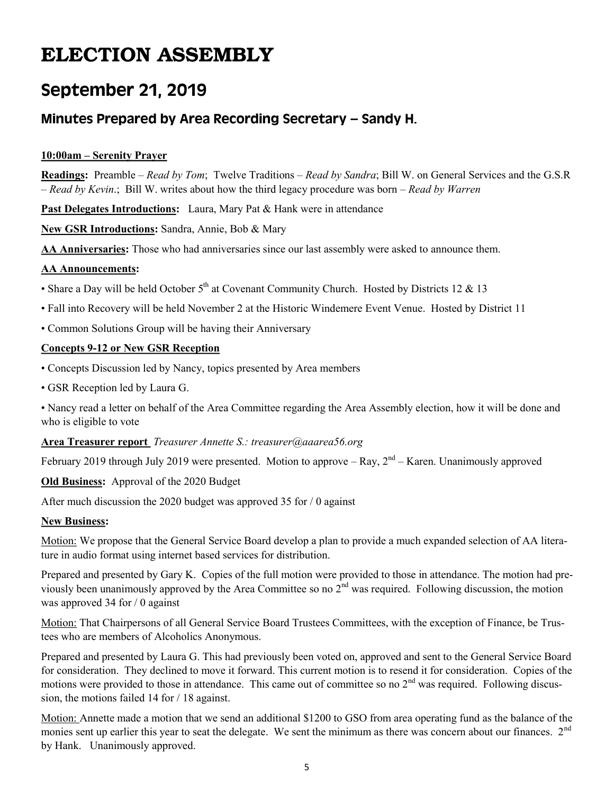### ELECTION ASSEMBLY

### September 21, 2019

#### Minutes Prepared by Area Recording Secretary – Sandy H.

#### **10:00am – Serenity Prayer**

**Readings:** Preamble – *Read by Tom*; Twelve Traditions – *Read by Sandra*; Bill W. on General Services and the G.S.R – *Read by Kevin*.; Bill W. writes about how the third legacy procedure was born – *Read by Warren*

**Past Delegates Introductions:** Laura, Mary Pat & Hank were in attendance

**New GSR Introductions:** Sandra, Annie, Bob & Mary

**AA Anniversaries:** Those who had anniversaries since our last assembly were asked to announce them.

#### **AA Announcements:**

- Share a Day will be held October  $5<sup>th</sup>$  at Covenant Community Church. Hosted by Districts 12 & 13
- Fall into Recovery will be held November 2 at the Historic Windemere Event Venue. Hosted by District 11
- Common Solutions Group will be having their Anniversary

#### **Concepts 9-12 or New GSR Reception**

- Concepts Discussion led by Nancy, topics presented by Area members
- GSR Reception led by Laura G.

• Nancy read a letter on behalf of the Area Committee regarding the Area Assembly election, how it will be done and who is eligible to vote

#### **Area Treasurer report** *Treasurer Annette S.: treasurer@aaarea56.org*

February 2019 through July 2019 were presented. Motion to approve  $-$  Ray,  $2<sup>nd</sup>$  – Karen. Unanimously approved

**Old Business:** Approval of the 2020 Budget

After much discussion the 2020 budget was approved 35 for / 0 against

#### **New Business:**

Motion: We propose that the General Service Board develop a plan to provide a much expanded selection of AA literature in audio format using internet based services for distribution.

Prepared and presented by Gary K. Copies of the full motion were provided to those in attendance. The motion had previously been unanimously approved by the Area Committee so no  $2<sup>nd</sup>$  was required. Following discussion, the motion was approved 34 for / 0 against

Motion: That Chairpersons of all General Service Board Trustees Committees, with the exception of Finance, be Trustees who are members of Alcoholics Anonymous.

Prepared and presented by Laura G. This had previously been voted on, approved and sent to the General Service Board for consideration. They declined to move it forward. This current motion is to resend it for consideration. Copies of the motions were provided to those in attendance. This came out of committee so no  $2<sup>nd</sup>$  was required. Following discussion, the motions failed 14 for / 18 against.

Motion: Annette made a motion that we send an additional \$1200 to GSO from area operating fund as the balance of the monies sent up earlier this year to seat the delegate. We sent the minimum as there was concern about our finances.  $2<sup>nd</sup>$ by Hank. Unanimously approved.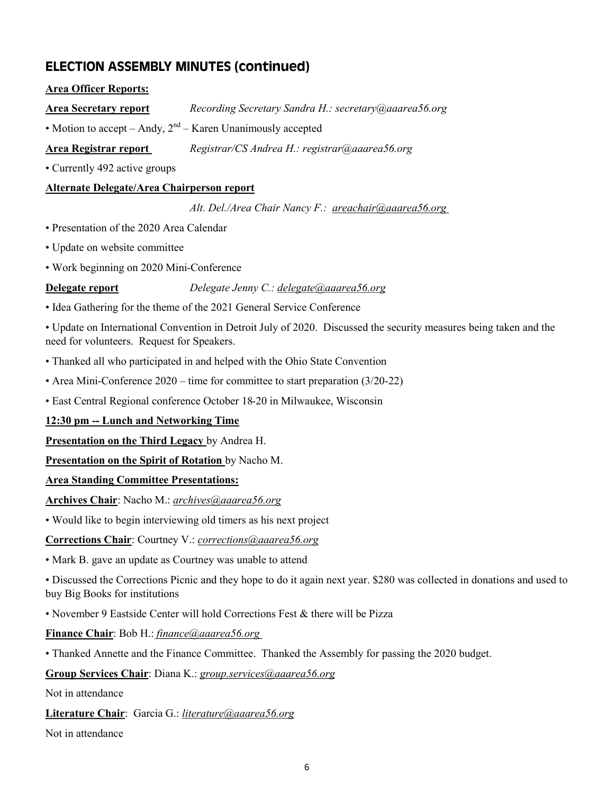#### ELECTION ASSEMBLY MINUTES (continued)

#### **Area Officer Reports:**

**Area Secretary report** *Recording Secretary Sandra H.: secretary@aaarea56.org*

• Motion to accept – Andy,  $2<sup>nd</sup>$  – Karen Unanimously accepted

**Area Registrar report** *Registrar/CS Andrea H.: registrar@aaarea56.org*

• Currently 492 active groups

#### **Alternate Delegate/Area Chairperson report**

*Alt. Del./Area Chair Nancy F.: [areachair@aaarea56.org](mailto:areachair@aaarea56.org?subject=To%20Area%2056%20Chair)*

- Presentation of the 2020 Area Calendar
- Update on website committee
- Work beginning on 2020 Mini-Conference

**Delegate report** *Delegate Jenny C.: [delegate@aaarea56.org](mailto:delegate@aaarea56.org?subject=To%20Area%2056%20Delegate)* 

• Idea Gathering for the theme of the 2021 General Service Conference

• Update on International Convention in Detroit July of 2020. Discussed the security measures being taken and the need for volunteers. Request for Speakers.

- Thanked all who participated in and helped with the Ohio State Convention
- Area Mini-Conference 2020 time for committee to start preparation (3/20-22)
- East Central Regional conference October 18-20 in Milwaukee, Wisconsin

#### **12:30 pm -- Lunch and Networking Time**

**Presentation on the Third Legacy** by Andrea H.

**Presentation on the Spirit of Rotation** by Nacho M.

#### **Area Standing Committee Presentations:**

**Archives Chair**: Nacho M.: *archives@aaarea56.org*

• Would like to begin interviewing old timers as his next project

**[Corrections Chair](mailto:Corrections%20Chair:%20Courtney%20V.:%20(513)486-8328%20 )**: Courtney V.: *corrections@aaarea56.org*

• Mark B. gave an update as Courtney was unable to attend

• Discussed the Corrections Picnic and they hope to do it again next year. \$280 was collected in donations and used to buy Big Books for institutions

• November 9 Eastside Center will hold Corrections Fest & there will be Pizza

**Finance Chair**: Bob H.: *finance@aaarea56.org*

• Thanked Annette and the Finance Committee. Thanked the Assembly for passing the 2020 budget.

**Group Services Chair**: Diana K.: *group.services@aaarea56.org*

Not in attendance

**Literature Chair**: Garcia G.: *literature@aaarea56.org*

Not in attendance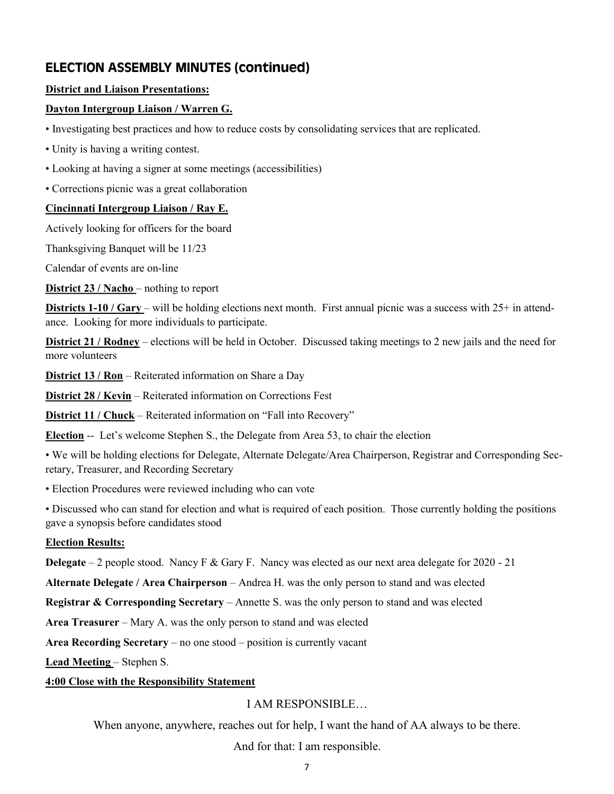#### ELECTION ASSEMBLY MINUTES (continued)

#### **District and Liaison Presentations:**

#### **Dayton Intergroup Liaison / Warren G.**

- Investigating best practices and how to reduce costs by consolidating services that are replicated.
- Unity is having a writing contest.
- Looking at having a signer at some meetings (accessibilities)
- Corrections picnic was a great collaboration

#### **Cincinnati Intergroup Liaison / Ray E.**

Actively looking for officers for the board

Thanksgiving Banquet will be 11/23

Calendar of events are on-line

**District 23 / Nacho** – nothing to report

**Districts 1-10 / Gary – will be holding elections next month. First annual picnic was a success with 25+ in attend**ance. Looking for more individuals to participate.

**District 21 / Rodney** – elections will be held in October. Discussed taking meetings to 2 new jails and the need for more volunteers

**District 13 / Ron** – Reiterated information on Share a Day

**District 28 / Kevin** – Reiterated information on Corrections Fest

**District 11 / Chuck** – Reiterated information on "Fall into Recovery"

**Election** -- Let's welcome Stephen S., the Delegate from Area 53, to chair the election

• We will be holding elections for Delegate, Alternate Delegate/Area Chairperson, Registrar and Corresponding Secretary, Treasurer, and Recording Secretary

• Election Procedures were reviewed including who can vote

• Discussed who can stand for election and what is required of each position. Those currently holding the positions gave a synopsis before candidates stood

#### **Election Results:**

**Delegate** – 2 people stood. Nancy F & Gary F. Nancy was elected as our next area delegate for 2020 - 21

**Alternate Delegate / Area Chairperson** – Andrea H. was the only person to stand and was elected

**Registrar & Corresponding Secretary** – Annette S. was the only person to stand and was elected

**Area Treasurer** – Mary A. was the only person to stand and was elected

**Area Recording Secretary** – no one stood – position is currently vacant

**Lead Meeting** – Stephen S.

#### **4:00 Close with the Responsibility Statement**

#### I AM RESPONSIBLE…

When anyone, anywhere, reaches out for help, I want the hand of AA always to be there.

And for that: I am responsible.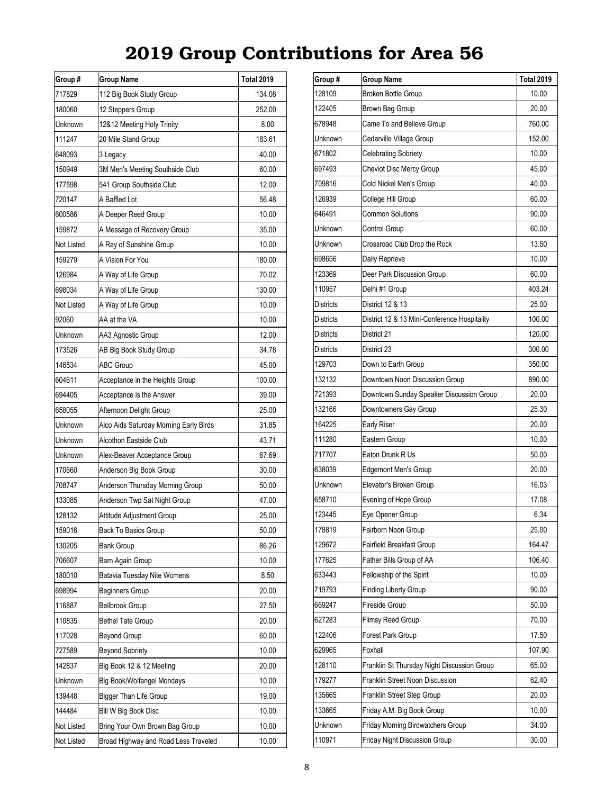| Group #    | Group Name                             | <b>Total 2019</b> |
|------------|----------------------------------------|-------------------|
| 717829     | 112 Big Book Study Group               | 134.08            |
| 180060     | 12 Steppers Group                      | 252.00            |
| Unknown    | 12&12 Meeting Holy Trinity             | 8.00              |
| 111247     | 20 Mile Stand Group                    | 183.61            |
| 648093     | 3 Legacy                               | 40.00             |
| 150949     | 3M Men's Meeting Southside Club        | 60.00             |
| 177598     | 541 Group Southside Club               | 12.00             |
| 720147     | A Baffled Lot                          | 56.48             |
| 600586     | A Deeper Reed Group                    | 10.00             |
| 159872     | A Message of Recovery Group            | 35.00             |
| Not Listed | A Ray of Sunshine Group                | 10.00             |
| 159279     | A Vision For You                       | 180.00            |
| 126984     | A Way of Life Group                    | 70.02             |
| 698034     | A Way of Life Group                    | 130.00            |
| Not Listed | A Way of Life Group                    | 10.00             |
| 92060      | AA at the VA                           | 10.00             |
| Unknown    | AA3 Agnostic Group                     | 12.00             |
| 173526     | AB Big Book Study Group                | 34.78             |
| 146534     | ABC Group                              | 45.00             |
| 604611     | Acceptance in the Heights Group        | 100.00            |
| 694405     | Acceptance is the Answer               | 39.00             |
| 658055     | Afternoon Delight Group                | 25.00             |
| Unknown    | Alco Aids Saturday Morning Early Birds | 31.85             |
| Unknown    | Alcothon Eastside Club                 | 43.71             |
| Unknown    | Alex-Beaver Acceptance Group           | 67.69             |
| 170660     | Anderson Big Book Group                | 30.00             |
| 708747     | Anderson Thursday Morning Group        | 50.00             |
| 133085     | Anderson Twp Sat Night Group           | 47.00             |
| 128132     | Attitude Adjustment Group              | 25.00             |
| 159016     | Back To Basics Group                   | 50.00             |
| 130205     | <b>Bank Group</b>                      | 86.26             |
| 706607     | Barn Again Group                       | 10.00             |
| 180010     | Batavia Tuesday Nite Womens            | 8.50              |
| 698994     | Beginners Group                        | 20.00             |
| 116887     | Bellbrook Group                        | 27.50             |
| 110835     | <b>Bethel Tate Group</b>               | 20.00             |
| 117028     | <b>Beyond Group</b>                    | 60.00             |
| 727589     | <b>Beyond Sobriety</b>                 | 10.00             |
| 142837     | Big Book 12 & 12 Meeting               | 20.00             |
| Unknown    | Big Book/Wolfangel Mondays             | 10.00             |
| 139448     | Bigger Than Life Group                 | 19.00             |
| 144484     | Bill W Big Book Disc                   | 10.00             |
| Not Listed | Bring Your Own Brown Bag Group         | 10.00             |
| Not Listed | Broad Highway and Road Less Traveled   | 10.00             |

| Group #   | Group Name                                   | <b>Total 2019</b> |
|-----------|----------------------------------------------|-------------------|
| 128109    | Broken Bottle Group                          | 10.00             |
| 122405    | Brown Bag Group                              | 20.00             |
| 678948    | Came To and Believe Group                    | 760.00            |
| Unknown   | Cedarville Village Group                     | 152.00            |
| 671802    | <b>Celebrating Sobriety</b>                  | 10.00             |
| 697493    | Cheviot Disc Mercy Group                     | 45.00             |
| 709816    | Cold Nickel Men's Group                      | 40.00             |
| 126939    | College Hill Group                           | 60.00             |
| 646491    | <b>Common Solutions</b>                      | 90.00             |
| Unknown   | Control Group                                | 60.00             |
| Unknown   | Crossroad Club Drop the Rock                 | 13.50             |
| 698656    | Daily Reprieve                               | 10.00             |
| 123369    | Deer Park Discussion Group                   | 60.00             |
| 110957    | Delhi #1 Group                               | 403.24            |
| Districts | District 12 & 13                             | 25.00             |
| Districts | District 12 & 13 Mini-Conference Hospitality | 100.00            |
| Districts | District 21                                  | 120.00            |
| Districts | District 23                                  | 300.00            |
| 129703    | Down to Earth Group                          | 350.00            |
| 132132    | Downtown Noon Discussion Group               | 890.00            |
| 721393    | Downtown Sunday Speaker Discussion Group     | 20.00             |
| 132166    | Downtowners Gay Group                        | 25.30             |
| 164225    | Early Riser                                  | 20.00             |
| 111280    | Eastern Group                                | 10.00             |
| 717707    | Eaton Drunk R Us                             | 50.00             |
| 638039    | <b>Edgemont Men's Group</b>                  | 20.00             |
| Unknown   | Elevator's Broken Group                      | 16.03             |
| 658710    | Evening of Hope Group                        | 17.08             |
| 123445    | Eye Opener Group                             | 6.34              |
| 178819    | Fairborn Noon Group                          | 25.00             |
| 129672    | <b>Fairfield Breakfast Group</b>             | 164.47            |
| 177625    | Father Bills Group of AA                     | 106.40            |
| 633443    | Fellowship of the Spirit                     | 10.00             |
| 719793    | <b>Finding Liberty Group</b>                 | 90.00             |
| 669247    | Fireside Group                               | 50.00             |
| 627283    | Flimsy Reed Group                            | 70.00             |
| 122406    | Forest Park Group                            | 17.50             |
| 629965    | Foxhall                                      | 107.90            |
| 128110    | Franklin St Thursday Night Discussion Group  | 65.00             |
| 179277    | Franklin Street Noon Discussion              | 62.40             |
| 135665    | Franklin Street Step Group                   | 20.00             |
| 133665    | Friday A.M. Big Book Group                   | 10.00             |
| Unknown   | Friday Morning Birdwatchers Group            | 34.00             |
| 110971    | Friday Night Discussion Group                | 30.00             |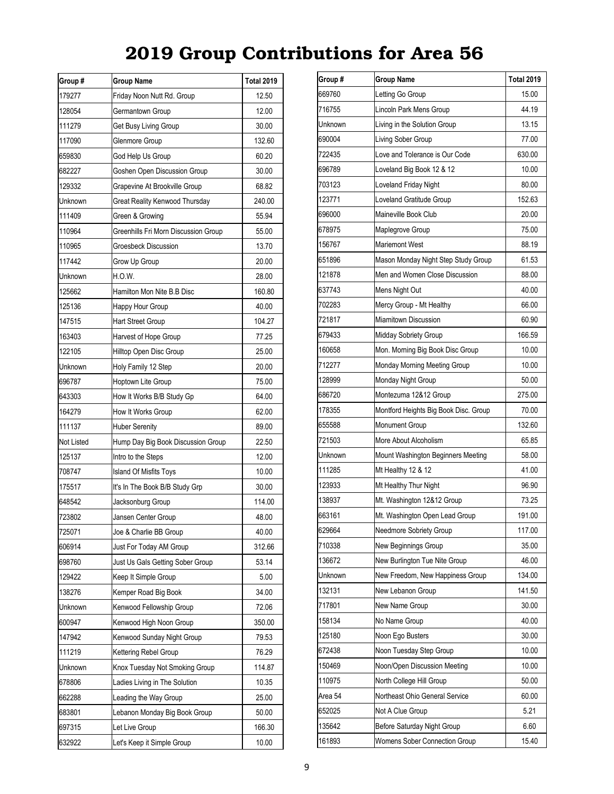| Group #    | <b>Group Name</b>                    | <b>Total 2019</b> |
|------------|--------------------------------------|-------------------|
| 179277     | Friday Noon Nutt Rd. Group           | 12.50             |
| 128054     | Germantown Group                     | 12.00             |
| 111279     | Get Busy Living Group                | 30.00             |
| 117090     | Glenmore Group                       | 132.60            |
| 659830     | God Help Us Group                    | 60.20             |
| 682227     | Goshen Open Discussion Group         | 30.00             |
| 129332     | Grapevine At Brookville Group        | 68.82             |
| Unknown    | Great Reality Kenwood Thursday       | 240.00            |
| 111409     | Green & Growing                      | 55.94             |
| 110964     | Greenhills Fri Morn Discussion Group | 55.00             |
| 110965     | Groesbeck Discussion                 | 13.70             |
| 117442     | Grow Up Group                        | 20.00             |
| Unknown    | H.O.W.                               | 28.00             |
| 125662     | Hamilton Mon Nite B.B Disc           | 160.80            |
| 125136     | Happy Hour Group                     | 40.00             |
| 147515     | <b>Hart Street Group</b>             | 104.27            |
| 163403     | Harvest of Hope Group                | 77.25             |
| 122105     | Hilltop Open Disc Group              | 25.00             |
| Unknown    | Holy Family 12 Step                  | 20.00             |
| 696787     | Hoptown Lite Group                   | 75.00             |
| 643303     | How It Works B/B Study Gp            | 64.00             |
| 164279     | How It Works Group                   | 62.00             |
| 111137     | <b>Huber Serenity</b>                | 89.00             |
| Not Listed | Hump Day Big Book Discussion Group   | 22.50             |
| 125137     | Intro to the Steps                   | 12.00             |
| 708747     | <b>Island Of Misfits Toys</b>        | 10.00             |
| 175517     | It's In The Book B/B Study Grp       | 30.00             |
| 648542     | Jacksonburg Group                    | 114.00            |
| 723802     | Jansen Center Group                  | 48.00             |
| 725071     | Joe & Charlie BB Group               | 40.00             |
| 606914     | Just For Today AM Group              | 312.66            |
| 698760     | Just Us Gals Getting Sober Group     | 53.14             |
| 129422     | Keep It Simple Group                 | 5.00              |
| 138276     | Kemper Road Big Book                 | 34.00             |
| Unknown    | Kenwood Fellowship Group             | 72.06             |
| 600947     | Kenwood High Noon Group              | 350.00            |
| 147942     | Kenwood Sunday Night Group           | 79.53             |
| 111219     | Kettering Rebel Group                | 76.29             |
| Unknown    | Knox Tuesday Not Smoking Group       | 114.87            |
| 678806     | Ladies Living in The Solution        | 10.35             |
| 662288     | Leading the Way Group                | 25.00             |
| 683801     | Lebanon Monday Big Book Group        | 50.00             |
| 697315     | Let Live Group                       | 166.30            |
| 632922     | Let's Keep it Simple Group           | 10.00             |

| Group # | <b>Group Name</b>                     | <b>Total 2019</b> |
|---------|---------------------------------------|-------------------|
| 669760  | Letting Go Group                      | 15.00             |
| 716755  | Lincoln Park Mens Group               | 44.19             |
| Unknown | Living in the Solution Group          | 13.15             |
| 690004  | Living Sober Group                    | 77.00             |
| 722435  | Love and Tolerance is Our Code        | 630.00            |
| 696789  | Loveland Big Book 12 & 12             | 10.00             |
| 703123  | Loveland Friday Night                 | 80.00             |
| 123771  | Loveland Gratitude Group              | 152.63            |
| 696000  | Maineville Book Club                  | 20.00             |
| 678975  | Maplegrove Group                      | 75.00             |
| 156767  | Mariemont West                        | 88.19             |
| 651896  | Mason Monday Night Step Study Group   | 61.53             |
| 121878  | Men and Women Close Discussion        | 88.00             |
| 637743  | Mens Night Out                        | 40.00             |
| 702283  | Mercy Group - Mt Healthy              | 66.00             |
| 721817  | <b>Miamitown Discussion</b>           | 60.90             |
| 679433  | Midday Sobriety Group                 | 166.59            |
| 160658  | Mon. Morning Big Book Disc Group      | 10.00             |
| 712277  | Monday Morning Meeting Group          | 10.00             |
| 128999  | Monday Night Group                    | 50.00             |
| 686720  | Montezuma 12&12 Group                 | 275.00            |
| 178355  | Montford Heights Big Book Disc. Group | 70.00             |
| 655588  | Monument Group                        | 132.60            |
| 721503  | More About Alcoholism                 | 65.85             |
| Unknown | Mount Washington Beginners Meeting    | 58.00             |
| 111285  | Mt Healthy 12 & 12                    | 41.00             |
| 123933  | Mt Healthy Thur Night                 | 96.90             |
| 138937  | Mt. Washington 12&12 Group            | 73.25             |
| 663161  | Mt. Washington Open Lead Group        | 191.00            |
| 629664  | Needmore Sobriety Group               | 117.00            |
| 710338  | New Beginnings Group                  | 35.00             |
| 136672  | New Burlington Tue Nite Group         | 46.00             |
| Unknown | New Freedom, New Happiness Group      | 134.00            |
| 132131  | New Lebanon Group                     | 141.50            |
| 717801  | New Name Group                        | 30.00             |
| 158134  | No Name Group                         | 40.00             |
| 125180  | Noon Ego Busters                      | 30.00             |
| 672438  | Noon Tuesday Step Group               | 10.00             |
| 150469  | Noon/Open Discussion Meeting          | 10.00             |
| 110975  | North College Hill Group              | 50.00             |
| Area 54 | Northeast Ohio General Service        | 60.00             |
| 652025  | Not A Clue Group                      | 5.21              |
| 135642  | Before Saturday Night Group           | 6.60              |
| 161893  | Womens Sober Connection Group         | 15.40             |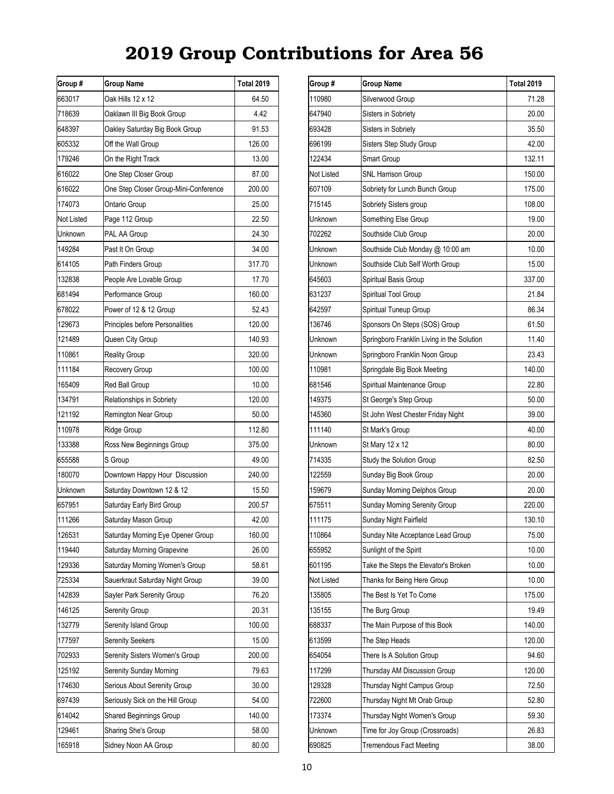| Group #    | <b>Group Name</b>                     | Total 2019 |
|------------|---------------------------------------|------------|
| 663017     | Oak Hills 12 x 12                     | 64.50      |
| 718639     | Oaklawn III Big Book Group            | 4.42       |
| 648397     | Oakley Saturday Big Book Group        | 91.53      |
| 605332     | Off the Wall Group                    | 126.00     |
| 179246     | On the Right Track                    | 13.00      |
| 616022     | One Step Closer Group                 | 87.00      |
| 616022     | One Step Closer Group-Mini-Conference | 200.00     |
| 174073     | Ontario Group                         | 25.00      |
| Not Listed | Page 112 Group                        | 22.50      |
| Unknown    | PAL AA Group                          | 24.30      |
| 149284     | Past It On Group                      | 34.00      |
| 614105     | Path Finders Group                    | 317.70     |
| 132838     | People Are Lovable Group              | 17.70      |
| 681494     | Performance Group                     | 160.00     |
| 678022     | Power of 12 & 12 Group                | 52.43      |
| 129673     | Principles before Personalities       | 120.00     |
| 121489     | Queen City Group                      | 140.93     |
| 110861     | <b>Reality Group</b>                  | 320.00     |
| 111184     | Recovery Group                        | 100.00     |
| 165409     | Red Ball Group                        | 10.00      |
| 134791     | Relationships in Sobriety             | 120.00     |
| 121192     | Remington Near Group                  | 50.00      |
| 110978     | Ridge Group                           | 112.80     |
| 133388     | Ross New Beginnings Group             | 375.00     |
| 655588     | S Group                               | 49.00      |
| 180070     | Downtown Happy Hour Discussion        | 240.00     |
| Unknown    | Saturday Downtown 12 & 12             | 15.50      |
| 657951     | Saturday Early Bird Group             | 200.57     |
| 111266     | Saturday Mason Group                  | 42.00      |
| 126531     | Saturday Morning Eye Opener Group     | 160.00     |
| 119440     | Saturday Morning Grapevine            | 26.00      |
| 129336     | Saturday Morning Women's Group        | 58.61      |
| 725334     | Sauerkraut Saturday Night Group       | 39.00      |
| 142839     | Sayler Park Serenity Group            | 76.20      |
| 146125     | Serenity Group                        | 20.31      |
| 132779     | Serenity Island Group                 | 100.00     |
| 177597     | <b>Serenity Seekers</b>               | 15.00      |
| 702933     | Serenity Sisters Women's Group        | 200.00     |
| 125192     | <b>Serenity Sunday Morning</b>        | 79.63      |
| 174630     | Serious About Serenity Group          | 30.00      |
| 697439     | Seriously Sick on the Hill Group      | 54.00      |
| 614042     | <b>Shared Beginnings Group</b>        | 140.00     |
| 129461     | Sharing She's Group                   |            |
| 165918     | Sidney Noon AA Group                  | 80.00      |

| Group #    | <b>Group Name</b>                          | <b>Total 2019</b> |
|------------|--------------------------------------------|-------------------|
| 110980     | Silverwood Group                           | 71.28             |
| 647940     | Sisters in Sobriety                        | 20.00             |
| 693428     | Sisters in Sobriety                        | 35.50             |
| 696199     | <b>Sisters Step Study Group</b>            | 42.00             |
| 122434     | Smart Group                                | 132.11            |
| Not Listed | SNL Harrison Group                         | 150.00            |
| 607109     | Sobriety for Lunch Bunch Group             | 175.00            |
| 715145     | Sobriety Sisters group                     | 108.00            |
| Unknown    | Something Else Group                       | 19.00             |
| 702262     | Southside Club Group                       | 20.00             |
| Unknown    | Southside Club Monday @ 10:00 am           | 10.00             |
| Unknown    | Southside Club Self Worth Group            | 15.00             |
| 645603     | Spiritual Basis Group                      | 337.00            |
| 631237     | Spiritual Tool Group                       | 21.84             |
| 642597     | Spiritual Tuneup Group                     | 86.34             |
| 136746     | Sponsors On Steps (SOS) Group              | 61.50             |
| Unknown    | Springboro Franklin Living in the Solution | 11.40             |
| Unknown    | Springboro Franklin Noon Group             | 23.43             |
| 110981     | Springdale Big Book Meeting                | 140.00            |
| 681546     | Spiritual Maintenance Group                | 22.80             |
| 149375     | St George's Step Group                     | 50.00             |
| 145360     | St John West Chester Friday Night          | 39.00             |
| 111140     | St Mark's Group                            | 40.00             |
| Unknown    | St Mary 12 x 12                            | 80.00             |
| 714335     | Study the Solution Group                   | 82.50             |
| 122559     | Sunday Big Book Group                      | 20.00             |
| 159679     | Sunday Morning Delphos Group               | 20.00             |
| 675511     | Sunday Morning Serenity Group              | 220.00            |
| 111175     | Sunday Night Fairfield                     | 130.10            |
| 110864     | Sunday Nite Acceptance Lead Group          | 75.00             |
| 655952     | Sunlight of the Spirit                     | 10.00             |
| 601195     | Take the Steps the Elevator's Broken       | 10.00             |
| Not Listed | Thanks for Being Here Group                | 10.00             |
| 135805     | The Best Is Yet To Come                    | 175.00            |
| 135155     | The Burg Group                             | 19.49             |
| 688337     | The Main Purpose of this Book              | 140.00            |
| 613599     | The Step Heads                             | 120.00            |
| 654054     | There Is A Solution Group                  | 94.60             |
| 117299     | Thursday AM Discussion Group               | 120.00            |
| 129328     | Thursday Night Campus Group                | 72.50             |
| 722600     | Thursday Night Mt Orab Group               | 52.80             |
| 173374     | Thursday Night Women's Group               | 59.30             |
| Unknown    | Time for Joy Group (Crossroads)            | 26.83             |
| 690825     | <b>Tremendous Fact Meeting</b>             | 38.00             |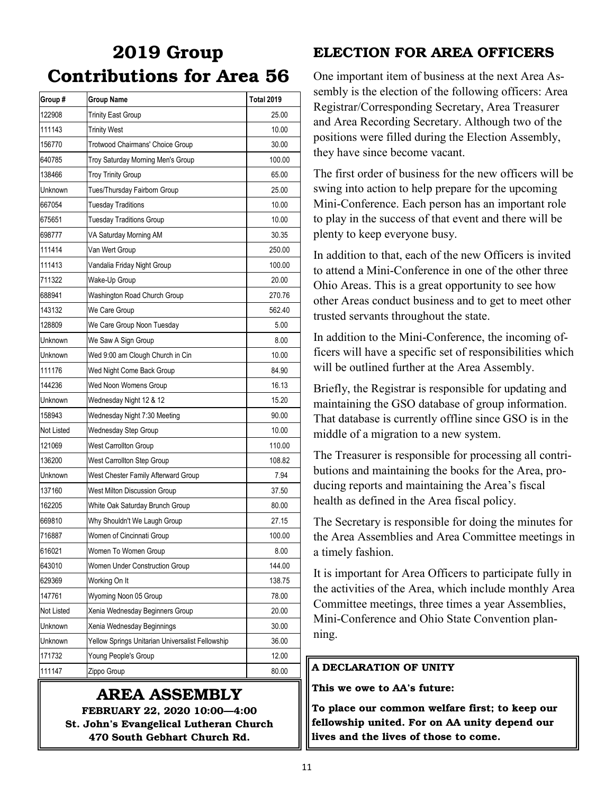| Group #    | <b>Group Name</b>                                | <b>Total 2019</b> |
|------------|--------------------------------------------------|-------------------|
| 122908     | <b>Trinity East Group</b>                        | 25.00             |
| 111143     | <b>Trinity West</b>                              | 10.00             |
| 156770     | <b>Trotwood Chairmans' Choice Group</b>          | 30.00             |
| 640785     | Troy Saturday Morning Men's Group                | 100.00            |
| 138466     | <b>Troy Trinity Group</b>                        | 65.00             |
| Unknown    | Tues/Thursday Fairborn Group                     | 25.00             |
| 667054     | <b>Tuesday Traditions</b>                        | 10.00             |
| 675651     | <b>Tuesday Traditions Group</b>                  | 10.00             |
| 698777     | VA Saturday Morning AM                           | 30.35             |
| 111414     | Van Wert Group                                   | 250.00            |
| 111413     | Vandalia Friday Night Group                      | 100.00            |
| 711322     | Wake-Up Group                                    | 20.00             |
| 688941     | Washington Road Church Group                     | 270.76            |
| 143132     | We Care Group                                    | 562.40            |
| 128809     | We Care Group Noon Tuesday                       | 5.00              |
| Unknown    | We Saw A Sign Group                              | 8.00              |
| Unknown    | Wed 9:00 am Clough Church in Cin                 | 10.00             |
| 111176     | Wed Night Come Back Group                        | 84.90             |
| 144236     | Wed Noon Womens Group                            | 16.13             |
| Unknown    | Wednesday Night 12 & 12                          | 15.20             |
| 158943     | Wednesday Night 7:30 Meeting                     | 90.00             |
| Not Listed | Wednesday Step Group                             | 10.00             |
| 121069     | <b>West Carrollton Group</b>                     | 110.00            |
| 136200     | West Carrollton Step Group                       | 108.82            |
| Unknown    | West Chester Family Afterward Group              | 7.94              |
| 137160     | West Milton Discussion Group                     | 37.50             |
| 162205     | White Oak Saturday Brunch Group                  | 80.00             |
| 669810     | Why Shouldn't We Laugh Group                     | 27.15             |
| 716887     | Women of Cincinnati Group                        | 100.00            |
| 616021     | Women To Women Group                             | 8.00              |
| 643010     | Women Under Construction Group                   | 144.00            |
| 629369     | Working On It                                    | 138.75            |
| 147761     | Wyoming Noon 05 Group                            | 78.00             |
| Not Listed | Xenia Wednesday Beginners Group                  | 20.00             |
| Unknown    | Xenia Wednesday Beginnings                       | 30.00             |
| Unknown    | Yellow Springs Unitarian Universalist Fellowship | 36.00             |
| 171732     | Young People's Group                             | 12.00             |
| 111147     | Zippo Group                                      | 80.00             |

### AREA ASSEMBLY

FEBRUARY 22, 2020 10:00—4:00 St. John's Evangelical Lutheran Church 470 South Gebhart Church Rd.

### ELECTION FOR AREA OFFICERS

One important item of business at the next Area Assembly is the election of the following officers: Area Registrar/Corresponding Secretary, Area Treasurer and Area Recording Secretary. Although two of the positions were filled during the Election Assembly, they have since become vacant.

The first order of business for the new officers will be swing into action to help prepare for the upcoming Mini-Conference. Each person has an important role to play in the success of that event and there will be plenty to keep everyone busy.

In addition to that, each of the new Officers is invited to attend a Mini-Conference in one of the other three Ohio Areas. This is a great opportunity to see how other Areas conduct business and to get to meet other trusted servants throughout the state.

In addition to the Mini-Conference, the incoming officers will have a specific set of responsibilities which will be outlined further at the Area Assembly.

Briefly, the Registrar is responsible for updating and maintaining the GSO database of group information. That database is currently offline since GSO is in the middle of a migration to a new system.

The Treasurer is responsible for processing all contributions and maintaining the books for the Area, producing reports and maintaining the Area's fiscal health as defined in the Area fiscal policy.

The Secretary is responsible for doing the minutes for the Area Assemblies and Area Committee meetings in a timely fashion.

It is important for Area Officers to participate fully in the activities of the Area, which include monthly Area Committee meetings, three times a year Assemblies, Mini-Conference and Ohio State Convention planning.

#### A DECLARATION OF UNITY

This we owe to AA's future:

To place our common welfare first; to keep our fellowship united. For on AA unity depend our lives and the lives of those to come.